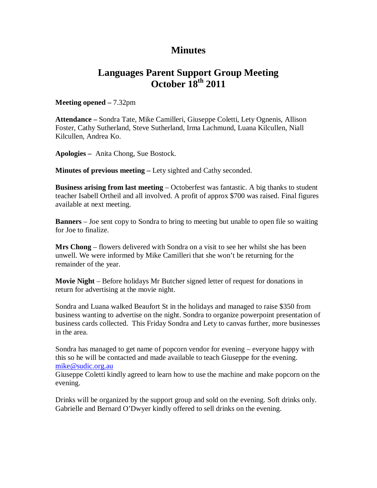## **Minutes**

## **Languages Parent Support Group Meeting October 18th 2011**

**Meeting opened –** 7.32pm

**Attendance –** Sondra Tate, Mike Camilleri, Giuseppe Coletti, Lety Ognenis, Allison Foster, Cathy Sutherland, Steve Sutherland, Irma Lachmund, Luana Kilcullen, Niall Kilcullen, Andrea Ko.

**Apologies –** Anita Chong, Sue Bostock.

**Minutes of previous meeting –** Lety sighted and Cathy seconded.

**Business arising from last meeting** – Octoberfest was fantastic. A big thanks to student teacher Isabell Ortheil and all involved. A profit of approx \$700 was raised. Final figures available at next meeting.

**Banners** – Joe sent copy to Sondra to bring to meeting but unable to open file so waiting for Joe to finalize.

**Mrs Chong** – flowers delivered with Sondra on a visit to see her whilst she has been unwell. We were informed by Mike Camilleri that she won't be returning for the remainder of the year.

**Movie Night** – Before holidays Mr Butcher signed letter of request for donations in return for advertising at the movie night.

Sondra and Luana walked Beaufort St in the holidays and managed to raise \$350 from business wanting to advertise on the night. Sondra to organize powerpoint presentation of business cards collected. This Friday Sondra and Lety to canvas further, more businesses in the area.

Sondra has managed to get name of popcorn vendor for evening – everyone happy with this so he will be contacted and made available to teach Giuseppe for the evening. mike@sudic.org.au

Giuseppe Coletti kindly agreed to learn how to use the machine and make popcorn on the evening.

Drinks will be organized by the support group and sold on the evening. Soft drinks only. Gabrielle and Bernard O'Dwyer kindly offered to sell drinks on the evening.